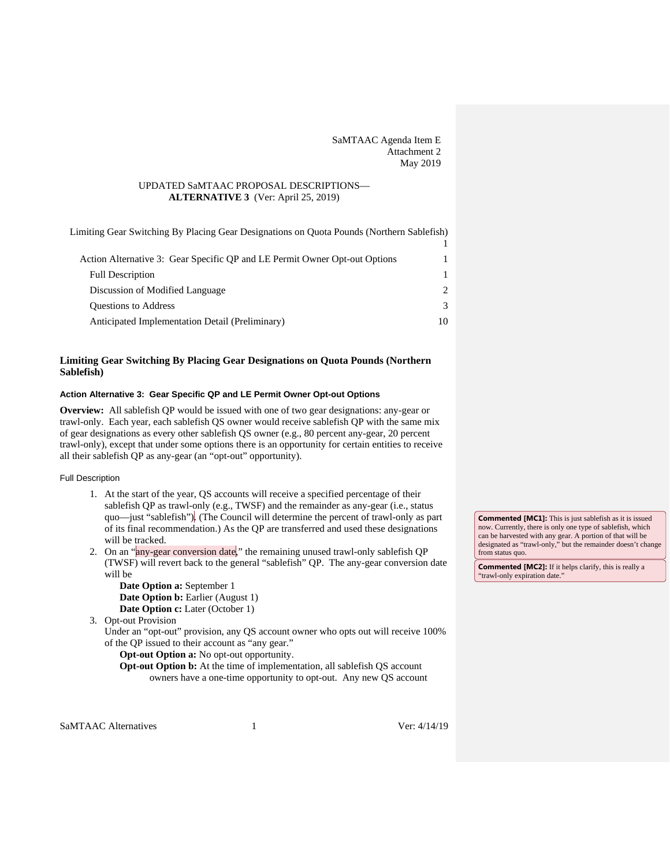SaMTAAC Agenda Item E Attachment 2 May 2019

## UPDATED SaMTAAC PROPOSAL DESCRIPTIONS— **ALTERNATIVE 3** (Ver: April 25, 2019)

[Limiting Gear Switching By Placing Gear Designations on Quota Pounds \(Northern Sablefish\)](#page-0-0)

| Action Alternative 3: Gear Specific QP and LE Permit Owner Opt-out Options |    |
|----------------------------------------------------------------------------|----|
| <b>Full Description</b>                                                    |    |
| Discussion of Modified Language                                            |    |
| <b>Ouestions to Address</b>                                                |    |
| Anticipated Implementation Detail (Preliminary)                            | 10 |

# <span id="page-0-0"></span>**Limiting Gear Switching By Placing Gear Designations on Quota Pounds (Northern Sablefish)**

# <span id="page-0-1"></span>**Action Alternative 3: Gear Specific QP and LE Permit Owner Opt-out Options**

**Overview:** All sablefish QP would be issued with one of two gear designations: any-gear or trawl-only. Each year, each sablefish QS owner would receive sablefish QP with the same mix of gear designations as every other sablefish QS owner (e.g., 80 percent any-gear, 20 percent trawl-only), except that under some options there is an opportunity for certain entities to receive all their sablefish QP as any-gear (an "opt-out" opportunity).

### <span id="page-0-2"></span>Full Description

- 1. At the start of the year, QS accounts will receive a specified percentage of their sablefish QP as trawl-only (e.g., TWSF) and the remainder as any-gear (i.e., status quo—just "sablefish"). (The Council will determine the percent of trawl-only as part of its final recommendation.) As the QP are transferred and used these designations will be tracked.
- 2. On an "any-gear conversion date," the remaining unused trawl-only sablefish QP (TWSF) will revert back to the general "sablefish" QP. The any-gear conversion date will be

**Date Option a:** September 1 **Date Option b:** Earlier (August 1) **Date Option c:** Later (October 1)

3. Opt-out Provision

Under an "opt-out" provision, any QS account owner who opts out will receive 100% of the QP issued to their account as "any gear."

**Opt-out Option a:** No opt-out opportunity.

**Opt-out Option b:** At the time of implementation, all sablefish QS account owners have a one-time opportunity to opt-out. Any new QS account

SaMTAAC Alternatives 1 Ver: 4/14/19

**Commented [MC1]:** This is just sablefish as it is issued now. Currently, there is only one type of sablefish, which can be harvested with any gear. A portion of that will be designated as "trawl-only," but the remainder doesn't change from status quo.

**Commented [MC2]:** If it helps clarify, this is really a "trawl-only expiration date.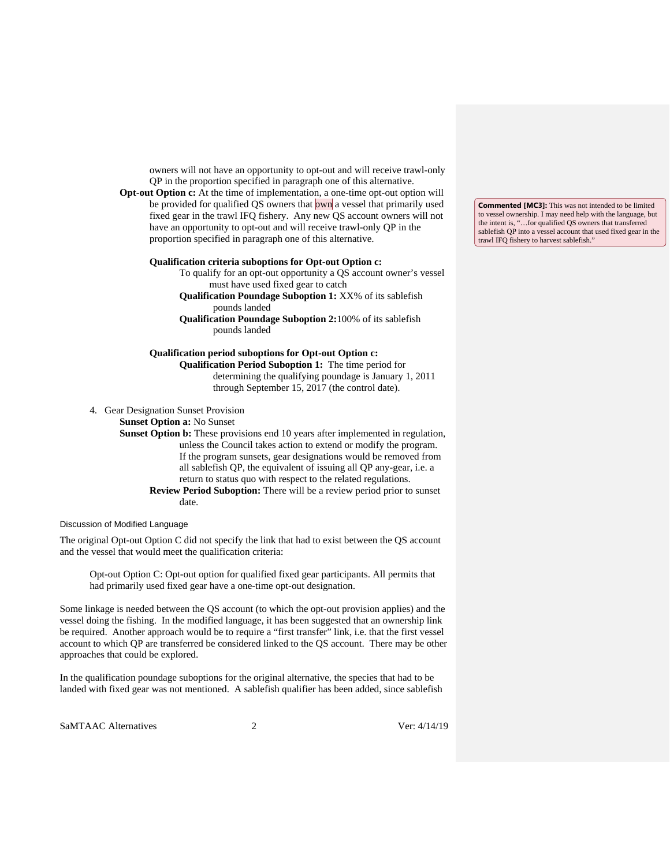owners will not have an opportunity to opt-out and will receive trawl-only QP in the proportion specified in paragraph one of this alternative.

**Opt-out Option c:** At the time of implementation, a one-time opt-out option will be provided for qualified QS owners that own a vessel that primarily used fixed gear in the trawl IFQ fishery. Any new QS account owners will not have an opportunity to opt-out and will receive trawl-only QP in the proportion specified in paragraph one of this alternative.

#### **Qualification criteria suboptions for Opt-out Option c:**

To qualify for an opt-out opportunity a QS account owner's vessel must have used fixed gear to catch

**Qualification Poundage Suboption 1:** XX% of its sablefish pounds landed

**Qualification Poundage Suboption 2:**100% of its sablefish pounds landed

**Qualification period suboptions for Opt-out Option c: Qualification Period Suboption 1:** The time period for determining the qualifying poundage is January 1, 2011 through September 15, 2017 (the control date).

4. Gear Designation Sunset Provision

**Sunset Option a:** No Sunset

**Sunset Option b:** These provisions end 10 years after implemented in regulation, unless the Council takes action to extend or modify the program. If the program sunsets, gear designations would be removed from all sablefish QP, the equivalent of issuing all QP any-gear, i.e. a return to status quo with respect to the related regulations.

**Review Period Suboption:** There will be a review period prior to sunset date.

<span id="page-1-0"></span>Discussion of Modified Language

The original Opt-out Option C did not specify the link that had to exist between the QS account and the vessel that would meet the qualification criteria:

Opt-out Option C: Opt-out option for qualified fixed gear participants. All permits that had primarily used fixed gear have a one-time opt-out designation.

Some linkage is needed between the QS account (to which the opt-out provision applies) and the vessel doing the fishing. In the modified language, it has been suggested that an ownership link be required. Another approach would be to require a "first transfer" link, i.e. that the first vessel account to which QP are transferred be considered linked to the QS account. There may be other approaches that could be explored.

In the qualification poundage suboptions for the original alternative, the species that had to be landed with fixed gear was not mentioned. A sablefish qualifier has been added, since sablefish

SaMTAAC Alternatives 2 2 Ver: 4/14/19

**Commented [MC3]:** This was not intended to be limited to vessel ownership. I may need help with the language, but the intent is, "…for qualified QS owners that transferred sablefish QP into a vessel account that used fixed gear in the trawl IFQ fishery to harvest sablefish."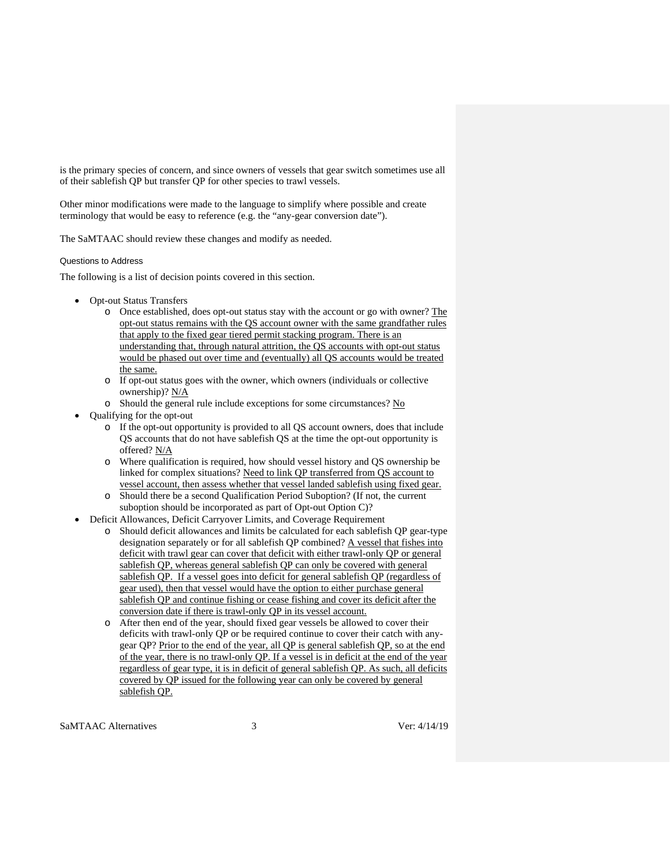is the primary species of concern, and since owners of vessels that gear switch sometimes use all of their sablefish QP but transfer QP for other species to trawl vessels.

Other minor modifications were made to the language to simplify where possible and create terminology that would be easy to reference (e.g. the "any-gear conversion date").

<span id="page-2-0"></span>The SaMTAAC should review these changes and modify as needed.

### Questions to Address

The following is a list of decision points covered in this section.

- Opt-out Status Transfers
	- o Once established, does opt-out status stay with the account or go with owner? The opt-out status remains with the QS account owner with the same grandfather rules that apply to the fixed gear tiered permit stacking program. There is an understanding that, through natural attrition, the QS accounts with opt-out status would be phased out over time and (eventually) all QS accounts would be treated the same.
	- o If opt-out status goes with the owner, which owners (individuals or collective ownership)? N/A
	- Should the general rule include exceptions for some circumstances?  $No$
- Qualifying for the opt-out
	- o If the opt-out opportunity is provided to all QS account owners, does that include QS accounts that do not have sablefish QS at the time the opt-out opportunity is offered? N/A
	- o Where qualification is required, how should vessel history and QS ownership be linked for complex situations? Need to link QP transferred from QS account to vessel account, then assess whether that vessel landed sablefish using fixed gear.
	- o Should there be a second Qualification Period Suboption? (If not, the current suboption should be incorporated as part of Opt-out Option C)?
- Deficit Allowances, Deficit Carryover Limits, and Coverage Requirement
	- Should deficit allowances and limits be calculated for each sablefish OP gear-type designation separately or for all sablefish QP combined? A vessel that fishes into deficit with trawl gear can cover that deficit with either trawl-only QP or general sablefish QP, whereas general sablefish QP can only be covered with general sablefish QP. If a vessel goes into deficit for general sablefish QP (regardless of gear used), then that vessel would have the option to either purchase general sablefish QP and continue fishing or cease fishing and cover its deficit after the conversion date if there is trawl-only QP in its vessel account.
	- o After then end of the year, should fixed gear vessels be allowed to cover their deficits with trawl-only QP or be required continue to cover their catch with anygear QP? Prior to the end of the year, all QP is general sablefish QP, so at the end of the year, there is no trawl-only QP. If a vessel is in deficit at the end of the year regardless of gear type, it is in deficit of general sablefish QP. As such, all deficits covered by QP issued for the following year can only be covered by general sablefish QP.

SaMTAAC Alternatives 3 3 Ver: 4/14/19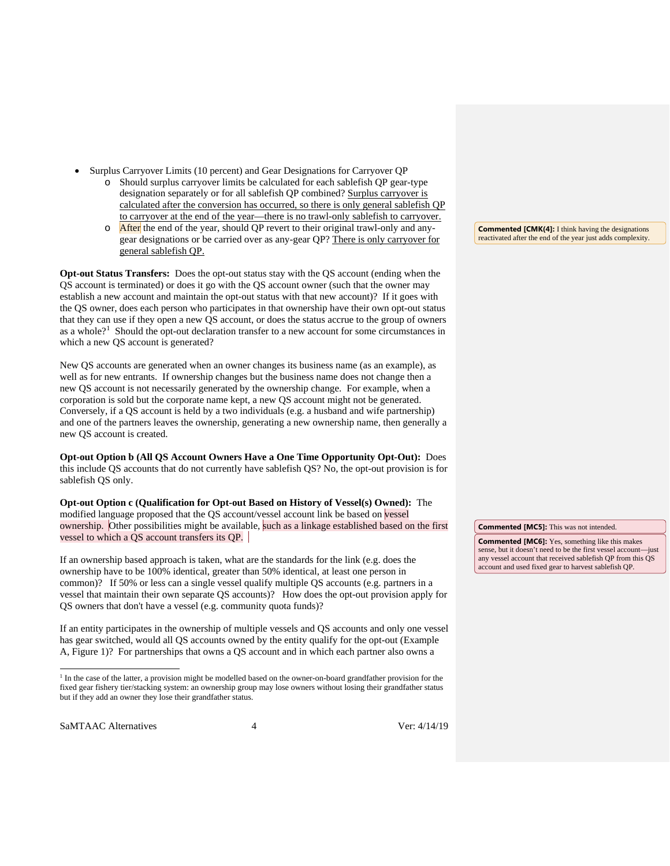- Surplus Carryover Limits (10 percent) and Gear Designations for Carryover QP
	- o Should surplus carryover limits be calculated for each sablefish QP gear-type designation separately or for all sablefish QP combined? Surplus carryover is calculated after the conversion has occurred, so there is only general sablefish QP to carryover at the end of the year—there is no trawl-only sablefish to carryover.
	- $\circ$  After the end of the year, should QP revert to their original trawl-only and anygear designations or be carried over as any-gear QP? There is only carryover for general sablefish QP.

**Opt-out Status Transfers:** Does the opt-out status stay with the QS account (ending when the QS account is terminated) or does it go with the QS account owner (such that the owner may establish a new account and maintain the opt-out status with that new account)? If it goes with the QS owner, does each person who participates in that ownership have their own opt-out status that they can use if they open a new QS account, or does the status accrue to the group of owners as a whole?<sup>[1](#page-3-0)</sup> Should the opt-out declaration transfer to a new account for some circumstances in which a new QS account is generated?

New QS accounts are generated when an owner changes its business name (as an example), as well as for new entrants. If ownership changes but the business name does not change then a new QS account is not necessarily generated by the ownership change. For example, when a corporation is sold but the corporate name kept, a new QS account might not be generated. Conversely, if a QS account is held by a two individuals (e.g. a husband and wife partnership) and one of the partners leaves the ownership, generating a new ownership name, then generally a new QS account is created.

**Opt-out Option b (All QS Account Owners Have a One Time Opportunity Opt-Out):** Does this include QS accounts that do not currently have sablefish QS? No, the opt-out provision is for sablefish QS only.

**Opt-out Option c (Qualification for Opt-out Based on History of Vessel(s) Owned):** The modified language proposed that the QS account/vessel account link be based on vessel ownership. Other possibilities might be available, such as a linkage established based on the first vessel to which a QS account transfers its QP.

If an ownership based approach is taken, what are the standards for the link (e.g. does the ownership have to be 100% identical, greater than 50% identical, at least one person in common)? If 50% or less can a single vessel qualify multiple QS accounts (e.g. partners in a vessel that maintain their own separate QS accounts)? How does the opt-out provision apply for QS owners that don't have a vessel (e.g. community quota funds)?

If an entity participates in the ownership of multiple vessels and QS accounts and only one vessel has gear switched, would all QS accounts owned by the entity qualify for the opt-out (Example A, [Figure 1\)](#page-4-0)? For partnerships that owns a QS account and in which each partner also owns a

<span id="page-3-0"></span>SaMTAAC Alternatives 4 Ver: 4/14/19

**Commented [CMK(4]:** I think having the designations reactivated after the end of the year just adds complexity.

**Commented [MC5]:** This was not intended.

**Commented [MC6]:** Yes, something like this makes sense, but it doesn't need to be the first vessel account—just any vessel account that received sablefish QP from this QS account and used fixed gear to harvest sablefish QP.

<sup>&</sup>lt;sup>1</sup> In the case of the latter, a provision might be modelled based on the owner-on-board grandfather provision for the fixed gear fishery tier/stacking system: an ownership group may lose owners without losing their grandfather status but if they add an owner they lose their grandfather status.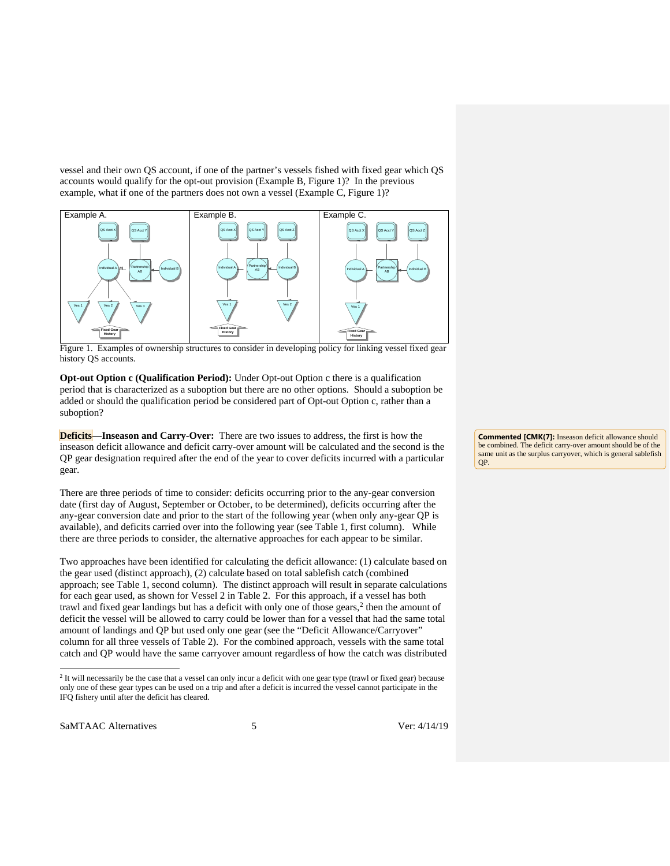vessel and their own QS account, if one of the partner's vessels fished with fixed gear which QS accounts would qualify for the opt-out provision (Example B, [Figure 1\)](#page-4-0)? In the previous example, what if one of the partners does not own a vessel (Example C, [Figure 1\)](#page-4-0)?



<span id="page-4-0"></span>Figure 1. Examples of ownership structures to consider in developing policy for linking vessel fixed gear history QS accounts.

**Opt-out Option c (Qualification Period):** Under Opt-out Option c there is a qualification period that is characterized as a suboption but there are no other options. Should a suboption be added or should the qualification period be considered part of Opt-out Option c, rather than a suboption?

**Deficits—Inseason and Carry-Over:** There are two issues to address, the first is how the inseason deficit allowance and deficit carry-over amount will be calculated and the second is the QP gear designation required after the end of the year to cover deficits incurred with a particular gear.

There are three periods of time to consider: deficits occurring prior to the any-gear conversion date (first day of August, September or October, to be determined), deficits occurring after the any-gear conversion date and prior to the start of the following year (when only any-gear QP is available), and deficits carried over into the following year (see [Table 1,](#page-6-0) first column). While there are three periods to consider, the alternative approaches for each appear to be similar.

Two approaches have been identified for calculating the deficit allowance: (1) calculate based on the gear used (distinct approach), (2) calculate based on total sablefish catch (combined approach; see [Table 1,](#page-6-0) second column). The distinct approach will result in separate calculations for each gear used, as shown for Vessel 2 in [Table 2.](#page-8-0) For this approach, if a vessel has both trawl and fixed gear landings but has a deficit with only one of those gears,<sup>[2](#page-4-1)</sup> then the amount of deficit the vessel will be allowed to carry could be lower than for a vessel that had the same total amount of landings and QP but used only one gear (see the "Deficit Allowance/Carryover" column for all three vessels of [Table 2\)](#page-8-0). For the combined approach, vessels with the same total catch and QP would have the same carryover amount regardless of how the catch was distributed

<span id="page-4-1"></span>SaMTAAC Alternatives 5 5 Ver: 4/14/19

**Commented [CMK(7]:** Inseason deficit allowance should be combined. The deficit carry-over amount should be of the same unit as the surplus carryover, which is general sablefish QP.

 <sup>2</sup> It will necessarily be the case that a vessel can only incur a deficit with one gear type (trawl or fixed gear) because only one of these gear types can be used on a trip and after a deficit is incurred the vessel cannot participate in the IFQ fishery until after the deficit has cleared.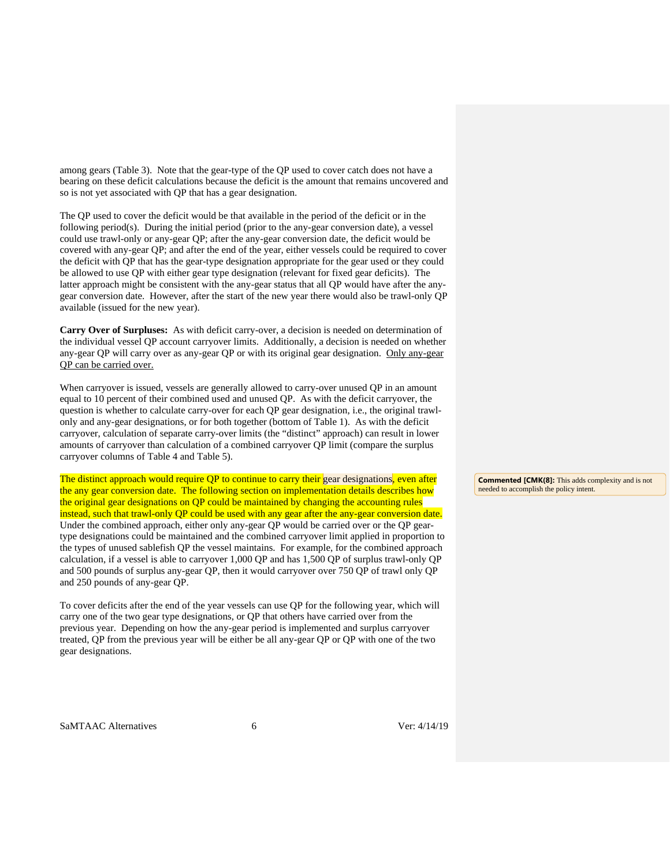among gears [\(Table 3\)](#page-8-1). Note that the gear-type of the QP used to cover catch does not have a bearing on these deficit calculations because the deficit is the amount that remains uncovered and so is not yet associated with QP that has a gear designation.

The QP used to cover the deficit would be that available in the period of the deficit or in the following period(s). During the initial period (prior to the any-gear conversion date), a vessel could use trawl-only or any-gear QP; after the any-gear conversion date, the deficit would be covered with any-gear QP; and after the end of the year, either vessels could be required to cover the deficit with QP that has the gear-type designation appropriate for the gear used or they could be allowed to use QP with either gear type designation (relevant for fixed gear deficits). The latter approach might be consistent with the any-gear status that all QP would have after the anygear conversion date. However, after the start of the new year there would also be trawl-only QP available (issued for the new year).

**Carry Over of Surpluses:** As with deficit carry-over, a decision is needed on determination of the individual vessel QP account carryover limits. Additionally, a decision is needed on whether any-gear QP will carry over as any-gear QP or with its original gear designation. Only any-gear QP can be carried over.

When carryover is issued, vessels are generally allowed to carry-over unused QP in an amount equal to 10 percent of their combined used and unused QP. As with the deficit carryover, the question is whether to calculate carry-over for each QP gear designation, i.e., the original trawlonly and any-gear designations, or for both together (bottom of [Table 1\)](#page-6-0). As with the deficit carryover, calculation of separate carry-over limits (the "distinct" approach) can result in lower amounts of carryover than calculation of a combined carryover QP limit (compare the surplus carryover columns of [Table 4](#page-8-2) and [Table 5\)](#page-8-3).

The distinct approach would require QP to continue to carry their gear designations, even after the any gear conversion date. The following section on implementation details describes how the original gear designations on QP could be maintained by changing the accounting rules instead, such that trawl-only QP could be used with any gear after the any-gear conversion date. Under the combined approach, either only any-gear QP would be carried over or the QP geartype designations could be maintained and the combined carryover limit applied in proportion to the types of unused sablefish QP the vessel maintains. For example, for the combined approach calculation, if a vessel is able to carryover 1,000 QP and has 1,500 QP of surplus trawl-only QP and 500 pounds of surplus any-gear QP, then it would carryover over 750 QP of trawl only QP and 250 pounds of any-gear QP.

To cover deficits after the end of the year vessels can use QP for the following year, which will carry one of the two gear type designations, or QP that others have carried over from the previous year. Depending on how the any-gear period is implemented and surplus carryover treated, QP from the previous year will be either be all any-gear QP or QP with one of the two gear designations.

**Commented [CMK(8]:** This adds complexity and is not needed to accomplish the policy intent.

SaMTAAC Alternatives 6 6 Ver: 4/14/19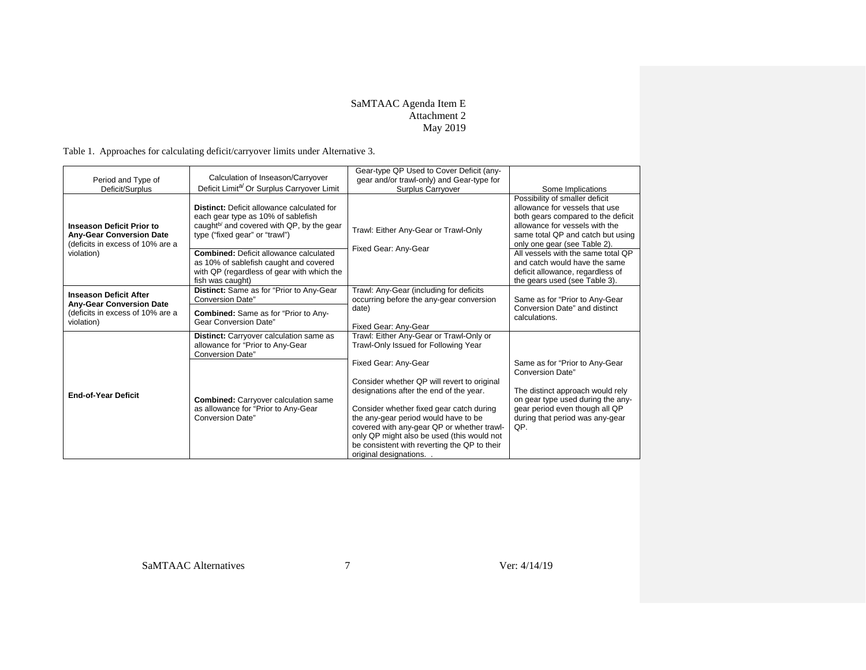# SaMTAAC Agenda Item E Attachment 2 May 2019

Table 1. Approaches for calculating deficit/carryover limits under Alternative 3.

<span id="page-6-0"></span>

| Period and Type of                                                                                      | Calculation of Inseason/Carryover                                                                                                                                                  | Gear-type QP Used to Cover Deficit (any-<br>gear and/or trawl-only) and Gear-type for                                                                                                                                                                                                                                                           |                                                                                                                                                                                                               |
|---------------------------------------------------------------------------------------------------------|------------------------------------------------------------------------------------------------------------------------------------------------------------------------------------|-------------------------------------------------------------------------------------------------------------------------------------------------------------------------------------------------------------------------------------------------------------------------------------------------------------------------------------------------|---------------------------------------------------------------------------------------------------------------------------------------------------------------------------------------------------------------|
| Deficit/Surplus                                                                                         | Deficit Limit <sup>a/</sup> Or Surplus Carryover Limit                                                                                                                             | <b>Surplus Carryover</b>                                                                                                                                                                                                                                                                                                                        | Some Implications                                                                                                                                                                                             |
| <b>Inseason Deficit Prior to</b><br><b>Any-Gear Conversion Date</b><br>(deficits in excess of 10% are a | <b>Distinct:</b> Deficit allowance calculated for<br>each gear type as 10% of sablefish<br>caught <sup>b/</sup> and covered with QP, by the gear<br>type ("fixed gear" or "trawl") | Trawl: Either Any-Gear or Trawl-Only<br>Fixed Gear: Any-Gear                                                                                                                                                                                                                                                                                    | Possibility of smaller deficit<br>allowance for vessels that use<br>both gears compared to the deficit<br>allowance for vessels with the<br>same total QP and catch but using<br>only one gear (see Table 2). |
| violation)                                                                                              | <b>Combined:</b> Deficit allowance calculated<br>as 10% of sablefish caught and covered<br>with QP (regardless of gear with which the<br>fish was caught)                          |                                                                                                                                                                                                                                                                                                                                                 | All vessels with the same total QP<br>and catch would have the same<br>deficit allowance, regardless of<br>the gears used (see Table 3).                                                                      |
| <b>Inseason Deficit After</b>                                                                           | Distinct: Same as for "Prior to Any-Gear<br><b>Conversion Date"</b>                                                                                                                | Trawl: Any-Gear (including for deficits<br>occurring before the any-gear conversion                                                                                                                                                                                                                                                             | Same as for "Prior to Any-Gear                                                                                                                                                                                |
| <b>Any-Gear Conversion Date</b><br>(deficits in excess of 10% are a<br>violation)                       | <b>Combined:</b> Same as for "Prior to Any-<br>Gear Conversion Date"                                                                                                               | date)<br>Fixed Gear: Any-Gear                                                                                                                                                                                                                                                                                                                   | Conversion Date" and distinct<br>calculations.                                                                                                                                                                |
|                                                                                                         | <b>Distinct:</b> Carryover calculation same as<br>allowance for "Prior to Any-Gear<br><b>Conversion Date"</b>                                                                      | Trawl: Either Any-Gear or Trawl-Only or<br>Trawl-Only Issued for Following Year                                                                                                                                                                                                                                                                 |                                                                                                                                                                                                               |
|                                                                                                         |                                                                                                                                                                                    | Fixed Gear: Any-Gear                                                                                                                                                                                                                                                                                                                            | Same as for "Prior to Any-Gear<br><b>Conversion Date"</b>                                                                                                                                                     |
| <b>End-of-Year Deficit</b>                                                                              | <b>Combined:</b> Carryover calculation same<br>as allowance for "Prior to Any-Gear<br><b>Conversion Date"</b>                                                                      | Consider whether QP will revert to original<br>designations after the end of the year.<br>Consider whether fixed gear catch during<br>the any-gear period would have to be<br>covered with any-gear QP or whether trawl-<br>only QP might also be used (this would not<br>be consistent with reverting the QP to their<br>original designations | The distinct approach would rely<br>on gear type used during the any-<br>gear period even though all QP<br>during that period was any-gear<br>QP.                                                             |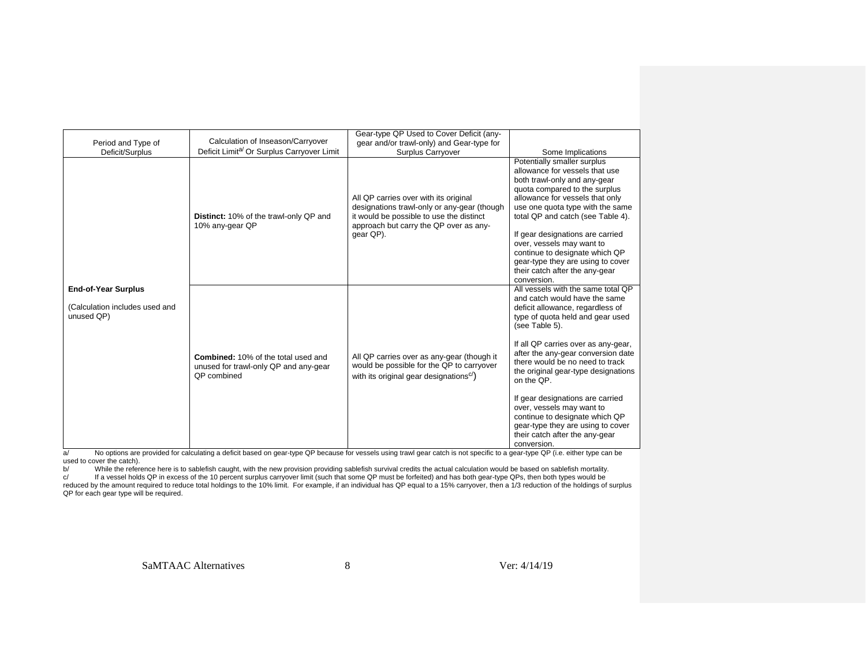| Period and Type of<br>Deficit/Surplus                                      | Calculation of Inseason/Carryover<br>Deficit Limit <sup>a/</sup> Or Surplus Carryover Limit               | Gear-type QP Used to Cover Deficit (any-<br>gear and/or trawl-only) and Gear-type for<br><b>Surplus Carryover</b>                                                                       | Some Implications                                                                                                                                                                                                                                                                                                                                                                                                                                                                                                           |
|----------------------------------------------------------------------------|-----------------------------------------------------------------------------------------------------------|-----------------------------------------------------------------------------------------------------------------------------------------------------------------------------------------|-----------------------------------------------------------------------------------------------------------------------------------------------------------------------------------------------------------------------------------------------------------------------------------------------------------------------------------------------------------------------------------------------------------------------------------------------------------------------------------------------------------------------------|
|                                                                            | Distinct: 10% of the trawl-only QP and<br>10% any-gear QP                                                 | All QP carries over with its original<br>designations trawl-only or any-gear (though<br>it would be possible to use the distinct<br>approach but carry the QP over as any-<br>gear QP). | Potentially smaller surplus<br>allowance for vessels that use<br>both trawl-only and any-gear<br>quota compared to the surplus<br>allowance for vessels that only<br>use one quota type with the same<br>total QP and catch (see Table 4).<br>If gear designations are carried<br>over, vessels may want to<br>continue to designate which QP<br>gear-type they are using to cover<br>their catch after the any-gear<br>conversion.                                                                                         |
| <b>End-of-Year Surplus</b><br>(Calculation includes used and<br>unused QP) | <b>Combined: 10% of the total used and</b><br>unused for trawl-only QP and any-gear<br><b>QP</b> combined | All QP carries over as any-gear (though it<br>would be possible for the QP to carryover<br>with its original gear designations <sup>c/</sup> )                                          | All vessels with the same total QP<br>and catch would have the same<br>deficit allowance, regardless of<br>type of quota held and gear used<br>(see Table 5).<br>If all QP carries over as any-gear,<br>after the any-gear conversion date<br>there would be no need to track<br>the original gear-type designations<br>on the OP.<br>If gear designations are carried<br>over, vessels may want to<br>continue to designate which QP<br>gear-type they are using to cover<br>their catch after the any-gear<br>conversion. |

conversion. a/ No options are provided for calculating a deficit based on gear-type QP because for vessels using trawl gear catch is not specific to a gear-type QP (i.e. either type can be used to cover the catch).

b/ While the reference here is to sablefish caught, with the new provision providing sablefish survival credits the actual calculation would be based on sablefish mortality.<br>c/ If a vessel holds QP in excess of the 10 perc QP for each gear type will be required.

SaMTAAC Alternatives 8 8 Ver: 4/14/19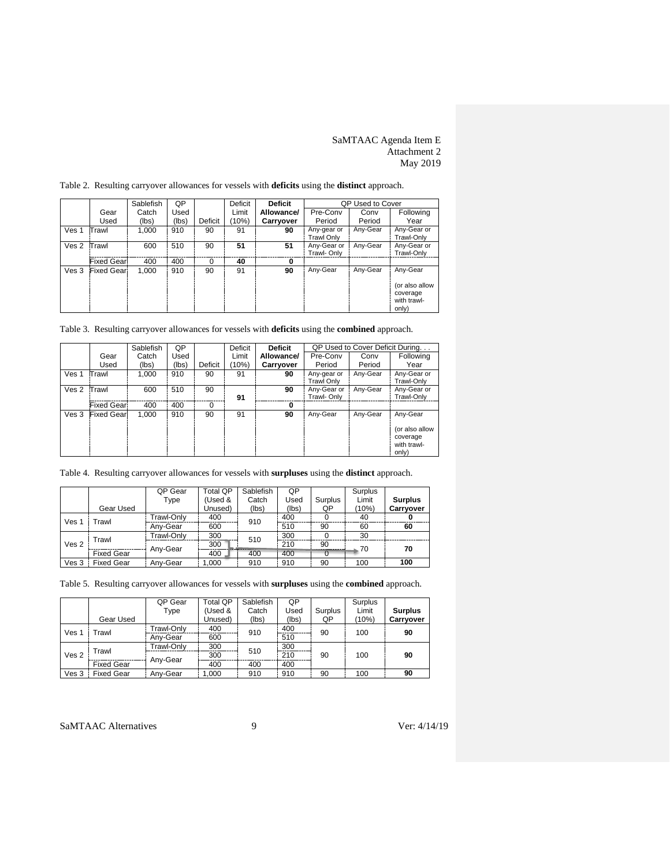## SaMTAAC Agenda Item E Attachment 2 May 2019

<span id="page-8-6"></span>

|                  |                   | Sablefish | 0P    |         | QP Used to Cover<br>Deficit<br><b>Deficit</b> |            |                                  |          |                                                    |
|------------------|-------------------|-----------|-------|---------|-----------------------------------------------|------------|----------------------------------|----------|----------------------------------------------------|
|                  | Gear              | Catch     | Used  |         | Limit                                         | Allowance/ | Pre-Conv                         | Conv     | Following                                          |
|                  | Used              | (lbs)     | (lbs) | Deficit | (10%)                                         | Carryover  | Period                           | Period   | Year                                               |
| Ves <sub>1</sub> | Trawl             | 1.000     | 910   | 90      | 91                                            | 90         | Any-gear or<br><b>Trawl Only</b> | Any-Gear | Any-Gear or<br>Trawl-Only                          |
| Ves 2            | Trawl             | 600       | 510   | 90      | 51                                            | 51         | Any-Gear or<br>Trawl- Only       | Any-Gear | Any-Gear or<br>Trawl-Only                          |
|                  | <b>Fixed Gear</b> | 400       | 400   | 0       | 40                                            | 0          |                                  |          |                                                    |
| Ves 3            | <b>Fixed Gear</b> | 1.000     | 910   | 90      | 91                                            | 90         | Any-Gear                         | Any-Gear | Any-Gear                                           |
|                  |                   |           |       |         |                                               |            |                                  |          | (or also allow<br>coverage<br>with trawl-<br>only) |

<span id="page-8-5"></span><span id="page-8-4"></span><span id="page-8-0"></span>Table 2. Resulting carryover allowances for vessels with **deficits** using the **distinct** approach.

<span id="page-8-1"></span>Table 3. Resulting carryover allowances for vessels with **deficits** using the **combined** approach.

<span id="page-8-7"></span>

|                  |                   | Sablefish | QP    |         | Deficit | <b>Deficit</b>   | QP Used to Cover Deficit During  |          |                                                    |
|------------------|-------------------|-----------|-------|---------|---------|------------------|----------------------------------|----------|----------------------------------------------------|
|                  | Gear              | Catch     | Used  |         | Limit   | Allowance/       | Pre-Conv                         | Conv     | Following                                          |
|                  | Used              | (lbs)     | (lbs) | Deficit | (10%)   | <b>Carryover</b> | Period                           | Period   | Year                                               |
| Ves <sub>1</sub> | Trawl             | 1.000     | 910   | 90      | 91      | 90               | Any-gear or<br><b>Trawl Only</b> | Any-Gear | Any-Gear or<br>Trawl-Only                          |
| Ves 2            | Trawl             | 600       | 510   | 90      | 91      | 90               | Any-Gear or<br>Trawl- Only       | Any-Gear | Any-Gear or<br>Trawl-Only                          |
|                  | <b>Fixed Gear</b> | 400       | 400   | 0       |         | 0                |                                  |          |                                                    |
| Ves 3            | <b>Fixed Gear</b> | 1,000     | 910   | 90      | 91      | 90               | Any-Gear                         | Any-Gear | Any-Gear                                           |
|                  |                   |           |       |         |         |                  |                                  |          | (or also allow<br>coverage<br>with trawl-<br>only) |

<span id="page-8-2"></span>Table 4. Resulting carryover allowances for vessels with **surpluses** using the **distinct** approach.

|                           |                   | QP Gear    | Total QP | Sablefish | QP    |         | Surplus |                  |
|---------------------------|-------------------|------------|----------|-----------|-------|---------|---------|------------------|
|                           |                   | Type       | (Used &  | Catch     | Used  | Surplus | Limit   | <b>Surplus</b>   |
|                           | Gear Used         |            | Unused)  | (lbs)     | (lbs) | QP      | (10%)   | <b>Carrvover</b> |
| Ves <sub>1</sub><br>Frawl |                   | Trawl-Only | 400      | 910       | 400   |         | 40      |                  |
|                           |                   | Anv-Gear   | 600      |           | 510   | 90      | 60      | 60               |
| Trawl<br>Ves <sub>2</sub> | Trawl-Only        | 300        | 510      | 300       |       | 30      |         |                  |
|                           |                   | Any-Gear   | 300      |           | 210   | 90      | 70      | 70               |
| <b>Fixed Gear</b>         |                   |            | 400      | 400       | 400   |         |         |                  |
| Ves 3                     | <b>Fixed Gear</b> | Anv-Gear   | 1.000    | 910       | 910   | 90      | 100     | 100              |

<span id="page-8-3"></span>Table 5. Resulting carryover allowances for vessels with **surpluses** using the **combined** approach.

|                           |                   | QP Gear    | Total QP | Sablefish | QP    |         | Surplus |                |    |
|---------------------------|-------------------|------------|----------|-----------|-------|---------|---------|----------------|----|
|                           |                   | Type       | (Used &  | Catch     | Used  | Surplus | Limit   | <b>Surplus</b> |    |
|                           | Gear Used         |            | Unused)  | (lbs)     | (Ibs) | QP      | (10%)   | Carryover      |    |
| Ves <sub>1</sub><br>Trawl |                   | Trawl-Only | 400      | 910       |       | 400     | 90      | 100            | 90 |
|                           |                   | Anv-Gear   | 600      |           | 510   |         |         |                |    |
|                           | Trawl             | Trawl-Only | 300      | 510       | 300   |         |         |                |    |
| Ves <sub>2</sub>          |                   |            | 300      |           | 210   | 90      | 100     | 90             |    |
| <b>Fixed Gear</b>         |                   | Any-Gear   | 400      | 400       | 400   |         |         |                |    |
| Ves 3                     | <b>Fixed Gear</b> | Anv-Gear   | 1.000    | 910       | 910   | 90      | 100     | 90             |    |

SaMTAAC Alternatives 9 9 Ver: 4/14/19